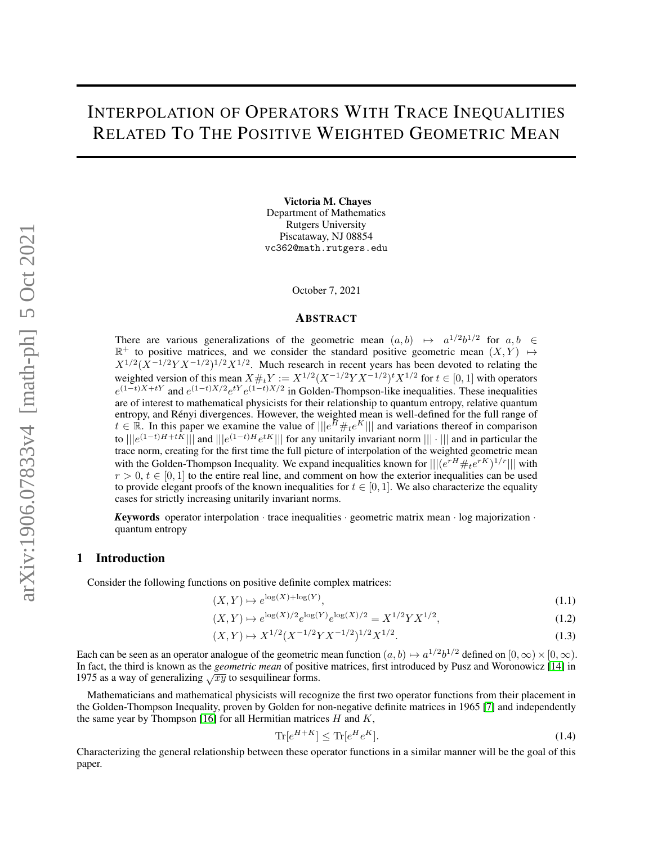# INTERPOLATION OF OPERATORS WITH TRACE INEQUALITIES RELATED TO THE POSITIVE WEIGHTED GEOMETRIC MEAN

Victoria M. Chayes Department of Mathematics Rutgers University Piscataway, NJ 08854 vc362@math.rutgers.edu

October 7, 2021

#### **ABSTRACT**

There are various generalizations of the geometric mean  $(a, b) \mapsto a^{1/2}b^{1/2}$  for  $a, b \in$  $\mathbb{R}^+$  to positive matrices, and we consider the standard positive geometric mean  $(X, Y) \mapsto$  $X^{1/2}(X^{-1/2}YX^{-1/2})^{1/2}X^{1/2}$ . Much research in recent years has been devoted to relating the weighted version of this mean  $X \#_t Y := X^{1/2} (X^{-1/2} Y X^{-1/2})^t X^{1/2}$  for  $t \in [0,1]$  with operators  $e^{(1-t)X+tY}$  and  $e^{(1-t)X/2}e^{tY}e^{(1-t)X/2}$  in Golden-Thompson-like inequalities. These inequalities are of interest to mathematical physicists for their relationship to quantum entropy, relative quantum entropy, and Rényi divergences. However, the weighted mean is well-defined for the full range of  $t \in \mathbb{R}$ . In this paper we examine the value of  $\||e^{\tilde{H}} \#_t e^K\||$  and variations thereof in comparison to  $\|e^{(1-t)H+tK}\|$  and  $\|e^{(1-t)H}e^{tK}\|$  for any unitarily invariant norm  $\|\cdot\|$  and in particular the trace norm, creating for the first time the full picture of interpolation of the weighted geometric mean with the Golden-Thompson Inequality. We expand inequalities known for  $\| | (e^{rH} \#_t e^{rK})^{1/r} || |$  with  $r > 0$ ,  $t \in [0, 1]$  to the entire real line, and comment on how the exterior inequalities can be used to provide elegant proofs of the known inequalities for  $t \in [0, 1]$ . We also characterize the equality cases for strictly increasing unitarily invariant norms.

*Keywords* operator interpolation  $\cdot$  trace inequalities  $\cdot$  geometric matrix mean  $\cdot$  log majorization  $\cdot$ quantum entropy

### 1 Introduction

Consider the following functions on positive definite complex matrices:

$$
(X,Y) \mapsto e^{\log(X) + \log(Y)},\tag{1.1}
$$

$$
(X,Y) \mapsto e^{\log(X)/2} e^{\log(Y)} e^{\log(X)/2} = X^{1/2} Y X^{1/2},\tag{1.2}
$$

$$
(X,Y) \mapsto X^{1/2} (X^{-1/2} Y X^{-1/2})^{1/2} X^{1/2}.
$$
\n(1.3)

Each can be seen as an operator analogue of the geometric mean function  $(a, b) \mapsto a^{1/2}b^{1/2}$  defined on  $[0, \infty) \times [0, \infty)$ . In fact, the third is known as the *geometric mean* of positive matrices, first introduced by Pusz and Woronowicz [\[14\]](#page-7-0) in 1975 as a way of generalizing  $\sqrt{xy}$  to sesquilinear forms.

Mathematicians and mathematical physicists will recognize the first two operator functions from their placement in the Golden-Thompson Inequality, proven by Golden for non-negative definite matrices in 1965 [\[7\]](#page-6-0) and independently the same year by Thompson [\[16\]](#page-7-1) for all Hermitian matrices  $H$  and  $K$ ,

$$
\operatorname{Tr}[e^{H+K}] \le \operatorname{Tr}[e^H e^K].\tag{1.4}
$$

Characterizing the general relationship between these operator functions in a similar manner will be the goal of this paper.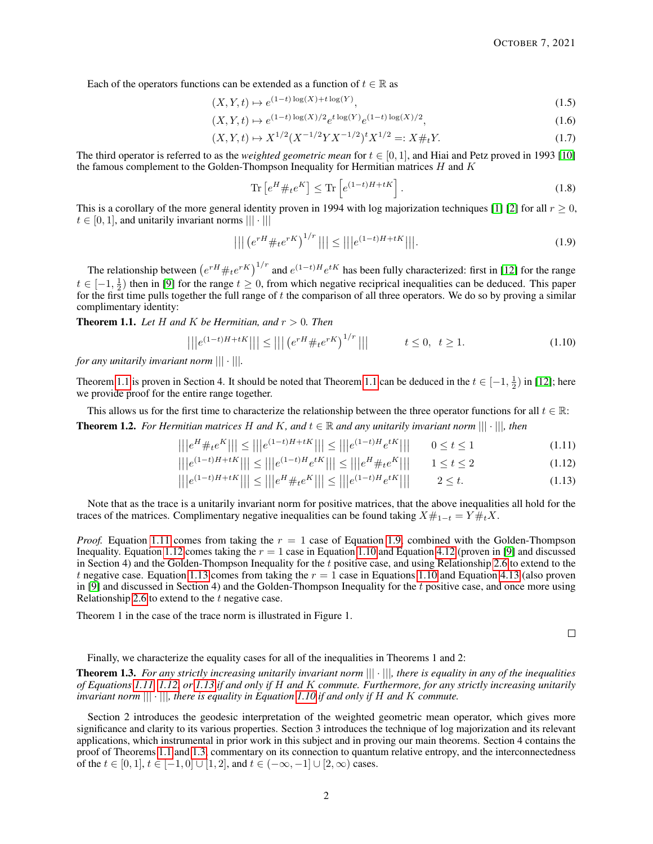Each of the operators functions can be extended as a function of  $t \in \mathbb{R}$  as

$$
(X, Y, t) \mapsto e^{(1-t)\log(X) + t\log(Y)},\tag{1.5}
$$

$$
(X, Y, t) \mapsto e^{(1-t)\log(X)/2} e^{t\log(Y)} e^{(1-t)\log(X)/2}, \tag{1.6}
$$

$$
(X, Y, t) \mapsto X^{1/2} (X^{-1/2} Y X^{-1/2})^t X^{1/2} =: X \#_t Y. \tag{1.7}
$$

The third operator is referred to as the *weighted geometric mean* for  $t \in [0, 1]$ , and Hiai and Petz proved in 1993 [\[10\]](#page-6-1) the famous complement to the Golden-Thompson Inequality for Hermitian matrices  $H$  and  $K$ 

$$
\operatorname{Tr}\left[e^H \#_t e^K\right] \le \operatorname{Tr}\left[e^{(1-t)H + tK}\right].\tag{1.8}
$$

This is a corollary of the more general identity proven in 1994 with log majorization techniques [\[1\]](#page-6-2) [\[2\]](#page-6-3) for all  $r \ge 0$ ,  $t \in [0, 1]$ , and unitarily invariant norms  $||| \cdot |||$ 

<span id="page-1-2"></span>
$$
||| (e^{rH} \#_t e^{rK})^{1/r} ||| \le |||e^{(1-t)H + tK}|||.
$$
\n(1.9)

The relationship between  $(e^{rH} \#_t e^{rK})^{1/r}$  and  $e^{(1-t)H} e^{tK}$  has been fully characterized: first in [\[12\]](#page-6-4) for the range  $t \in [-1, \frac{1}{2})$  then in [\[9\]](#page-6-5) for the range  $t \ge 0$ , from which negative reciprical inequalities can be deduced. This paper for the first time pulls together the full range of  $t$  the comparison of all three operators. We do so by proving a similar complimentary identity:

<span id="page-1-0"></span>**Theorem 1.1.** Let H and K be Hermitian, and  $r > 0$ . Then

<span id="page-1-4"></span>
$$
|||e^{(1-t)H+tK}||| \le ||| \left(e^{rH} \#_t e^{rK}\right)^{1/r}||| \qquad t \le 0, \ t \ge 1. \tag{1.10}
$$

*for any unitarily invariant norm* ||| · |||*.*

Theorem [1.1](#page-1-0) is proven in Section 4. It should be noted that Theorem 1.1 can be deduced in the  $t \in [-1, \frac{1}{2})$  in [\[12\]](#page-6-4); here we provide proof for the entire range together.

<span id="page-1-7"></span>This allows us for the first time to characterize the relationship between the three operator functions for all  $t \in \mathbb{R}$ : **Theorem 1.2.** *For Hermitian matrices* H and K, and  $t \in \mathbb{R}$  and any unitarily invariant norm  $||| \cdot |||$ , then

$$
|||e^H \#_t e^K||| \le |||e^{(1-t)H + tK}||| \le |||e^{(1-t)H}e^{tK}||| \qquad 0 \le t \le 1
$$
\n(1.11)

$$
|||e^{\theta} + te^{\theta}||| \le |||e^{\theta} + te^{\theta}||| \le |||e^{\theta} + te^{\theta}|| \le |||e^{\theta} + te^{\theta}|| \qquad 0 \le t \le 1
$$
\n
$$
|||e^{(1-t)H+tK}||| \le |||e^{(1-t)H}e^{tK}||| \le |||e^H \#_t e^K|| \qquad 1 \le t \le 2
$$
\n
$$
(1.12)
$$

$$
|||e^{(1-t)H+tK}||| \le |||e^H \#_t e^K||| \le |||e^{(1-t)H} e^{tK}||| \qquad 2 \le t. \tag{1.13}
$$

Note that as the trace is a unitarily invariant norm for positive matrices, that the above inequalities all hold for the traces of the matrices. Complimentary negative inequalities can be found taking  $X#_{1-t} = Y#_{t}X$ .

*Proof.* Equation [1.11](#page-1-1) comes from taking the  $r = 1$  case of Equation [1.9,](#page-1-2) combined with the Golden-Thompson Inequality. Equation [1.12](#page-1-3) comes taking the  $r = 1$  case in Equation [1.10](#page-1-4) and Equation [4.12](#page-4-0) (proven in [\[9\]](#page-6-5) and discussed in Section 4) and the Golden-Thompson Inequality for the  $t$  positive case, and using Relationship [2.6](#page-2-0) to extend to the t negative case. Equation [1.13](#page-1-5) comes from taking the  $r = 1$  case in Equations [1.10](#page-1-4) and Equation [4.13](#page-4-1) (also proven in [\[9\]](#page-6-5) and discussed in Section 4) and the Golden-Thompson Inequality for the t positive case, and once more using Relationship [2.6](#page-2-0) to extend to the  $t$  negative case.

Theorem 1 in the case of the trace norm is illustrated in Figure 1.

<span id="page-1-5"></span><span id="page-1-3"></span><span id="page-1-1"></span> $\Box$ 

Finally, we characterize the equality cases for all of the inequalities in Theorems 1 and 2:

<span id="page-1-6"></span>Theorem 1.3. *For any strictly increasing unitarily invariant norm* ||| · |||*, there is equality in any of the inequalities of Equations [1.11,](#page-1-1) [1.12,](#page-1-3) or [1.13](#page-1-5) if and only if* H *and* K *commute. Furthermore, for any strictly increasing unitarily invariant norm* ||| · |||*, there is equality in Equation [1.10](#page-1-4) if and only if* H *and* K *commute.*

Section 2 introduces the geodesic interpretation of the weighted geometric mean operator, which gives more significance and clarity to its various properties. Section 3 introduces the technique of log majorization and its relevant applications, which instrumental in prior work in this subject and in proving our main theorems. Section 4 contains the proof of Theorems [1.1](#page-1-0) and [1.3,](#page-1-6) commentary on its connection to quantum relative entropy, and the interconnectedness of the  $t \in [0, 1], t \in [-1, 0]$  ∪  $[1, 2]$ , and  $t \in (-\infty, -1]$  ∪  $[2, \infty)$  cases.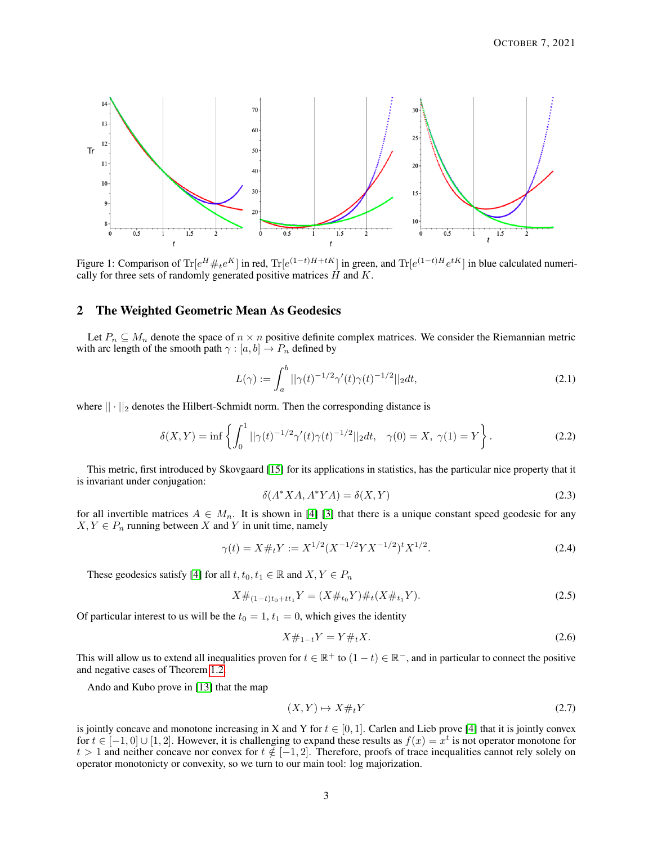

Figure 1: Comparison of  $\text{Tr}[e^H \#_t e^K]$  in red,  $\text{Tr}[e^{(1-t)H+tK}]$  in green, and  $\text{Tr}[e^{(1-t)H}e^{tK}]$  in blue calculated numerically for three sets of randomly generated positive matrices  $H$  and  $K$ .

# 2 The Weighted Geometric Mean As Geodesics

Let  $P_n \subseteq M_n$  denote the space of  $n \times n$  positive definite complex matrices. We consider the Riemannian metric with arc length of the smooth path  $\gamma : [a, b] \to P_n$  defined by

$$
L(\gamma) := \int_{a}^{b} ||\gamma(t)^{-1/2}\gamma'(t)\gamma(t)^{-1/2}||_2 dt,
$$
\n(2.1)

where  $|| \cdot ||_2$  denotes the Hilbert-Schmidt norm. Then the corresponding distance is

$$
\delta(X,Y) = \inf \left\{ \int_0^1 ||\gamma(t)^{-1/2}\gamma'(t)\gamma(t)^{-1/2}||_2 dt, \quad \gamma(0) = X, \ \gamma(1) = Y \right\}.
$$
 (2.2)

....This metric, first introduced by Skovgaard [\[15\]](#page-7-2) for its applications in statistics, has the particular nice property that it is invariant under conjugation:

$$
\delta(A^*XA, A^*YA) = \delta(X, Y) \tag{2.3}
$$

for all invertible matrices  $A \in M_n$ . It is shown in [\[4\]](#page-6-6) [\[3\]](#page-6-7) that there is a unique constant speed geodesic for any  $X, Y \in P_n$  running between X and Y in unit time, namely

$$
\gamma(t) = X \#_t Y := X^{1/2} (X^{-1/2} Y X^{-1/2})^t X^{1/2}.
$$
\n(2.4)

These geodesics satisfy [\[4\]](#page-6-6) for all  $t, t_0, t_1 \in \mathbb{R}$  and  $X, Y \in P_n$ 

$$
X\#_{(1-t)t_0+tt_1}Y = (X\#_{t_0}Y)\#_t(X\#_{t_1}Y). \tag{2.5}
$$

Of particular interest to us will be the  $t_0 = 1$ ,  $t_1 = 0$ , which gives the identity

<span id="page-2-0"></span>
$$
X\#_{1-t}Y = Y\#_tX.
$$
\n(2.6)

This will allow us to extend all inequalities proven for  $t \in \mathbb{R}^+$  to  $(1-t) \in \mathbb{R}^-$ , and in particular to connect the positive and negative cases of Theorem [1.2.](#page-1-7)

Ando and Kubo prove in [\[13\]](#page-7-3) that the map

$$
(X,Y)\mapsto X\#_t Y\tag{2.7}
$$

is jointly concave and monotone increasing in X and Y for  $t \in [0, 1]$ . Carlen and Lieb prove [\[4\]](#page-6-6) that it is jointly convex for  $t \in [-1,0] \cup [1,2]$ . However, it is challenging to expand these results as  $f(x) = x^t$  is not operator monotone for  $t > 1$  and neither concave nor convex for  $t \notin [-1, 2]$ . Therefore, proofs of trace inequalities cannot rely solely on operator monotonicty or convexity, so we turn to our main tool: log majorization.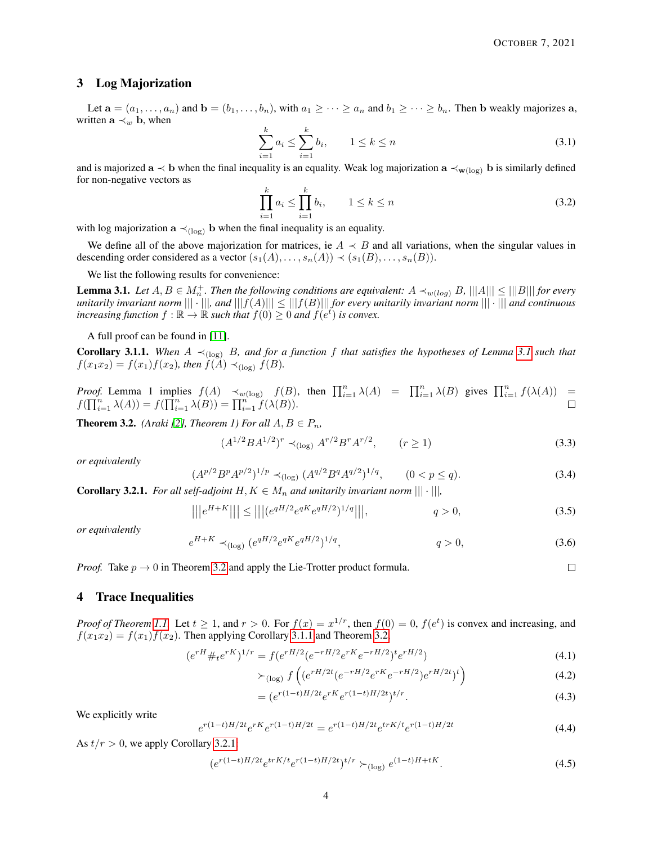$\Box$ 

## 3 Log Majorization

Let  $\mathbf{a} = (a_1, \ldots, a_n)$  and  $\mathbf{b} = (b_1, \ldots, b_n)$ , with  $a_1 \geq \cdots \geq a_n$  and  $b_1 \geq \cdots \geq b_n$ . Then b weakly majorizes a, written  $\mathbf{a} \prec_w \mathbf{b}$ , when

$$
\sum_{i=1}^{k} a_i \le \sum_{i=1}^{k} b_i, \qquad 1 \le k \le n \tag{3.1}
$$

and is majorized  $a \prec b$  when the final inequality is an equality. Weak log majorization  $a \prec_{w(\log)} b$  is similarly defined for non-negative vectors as

$$
\prod_{i=1}^{k} a_i \le \prod_{i=1}^{k} b_i, \qquad 1 \le k \le n
$$
\n(3.2)

with log majorization  $\mathbf{a} \prec_{(\log)} \mathbf{b}$  when the final inequality is an equality.

We define all of the above majorization for matrices, ie  $A \prec B$  and all variations, when the singular values in descending order considered as a vector  $(s_1(A), \ldots, s_n(A)) \prec (s_1(B), \ldots, s_n(B)).$ 

We list the following results for convenience:

<span id="page-3-0"></span>**Lemma 3.1.** Let  $A, B \in M_n^+$ . Then the following conditions are equivalent:  $A \prec_{w(log)} B$ ,  $|||A||| \le |||B|||$  for every *unitarily invariant norm* ||| · |||*, and* |||f(A)||| ≤ |||f(B)||| *for every unitarily invariant norm* ||| · ||| *and continuous increasing function*  $f : \mathbb{R} \to \mathbb{R}$  such that  $f(0) \geq 0$  and  $f(e^t)$  is convex.

A full proof can be found in  $[11]$ .

<span id="page-3-2"></span>**Corollary [3.1](#page-3-0).1.** When  $A \prec_{(\log)} B$ , and for a function f that satisfies the hypotheses of Lemma 3.1 such that  $f(x_1x_2) = f(x_1)f(x_2)$ , then  $f(A) \prec_{(\log)} f(B)$ .

*Proof.* Lemma 1 implies  $f(A) \prec_{w(\log)} f(B)$ , then  $\prod_{i=1}^{n} \lambda(A) = \prod_{i=1}^{n} \lambda(B)$  gives  $\prod_{i=1}^{n} f(\lambda(A)) =$  $f(\prod_{i=1}^{n} \lambda(A)) = f(\prod_{i=1}^{n} \lambda(B)) = \prod_{i=1}^{n} f(\lambda(B)).$ 

<span id="page-3-1"></span>**Theorem 3.2.** *(Araki [\[2\]](#page-6-3), Theorem 1) For all*  $A, B \in P_n$ *,* 

e

$$
(A^{1/2}BA^{1/2})^r \prec_{(\log)} A^{r/2}B^r A^{r/2}, \qquad (r \ge 1)
$$
\n(3.3)

*or equivalently*

$$
(A^{p/2}B^pA^{p/2})^{1/p} \prec_{(\log)} (A^{q/2}B^qA^{q/2})^{1/q}, \qquad (0 < p \le q). \tag{3.4}
$$

<span id="page-3-3"></span>**Corollary 3.2.1.** *For all self-adjoint*  $H, K \in M_n$  *and unitarily invariant norm*  $|||\cdot|||$ *,* 

$$
|||e^{H+K}||| \le |||(e^{qH/2}e^{qK}e^{qH/2})^{1/q}|||, \qquad \qquad q > 0,
$$
\n(3.5)

*or equivalently*

$$
{}^{H+K} \prec_{(\log)} (e^{qH/2} e^{qK} e^{qH/2})^{1/q}, \qquad q > 0,\tag{3.6}
$$

*Proof.* Take  $p \rightarrow 0$  in Theorem [3.2](#page-3-1) and apply the Lie-Trotter product formula.

## 4 Trace Inequalities

*Proof of Theorem [1.1.](#page-1-0)* Let  $t \ge 1$ , and  $r > 0$ . For  $f(x) = x^{1/r}$ , then  $f(0) = 0$ ,  $f(e^t)$  is convex and increasing, and  $f(x_1x_2) = f(x_1)f(x_2)$ . Then applying Corollary [3.1.1](#page-3-2) and Theorem [3.2,](#page-3-1)

$$
(e^{rH} \#_t e^{rK})^{1/r} = f(e^{rH/2}(e^{-rH/2}e^{rK}e^{-rH/2})^t e^{rH/2})
$$
\n(4.1)

$$
\succ_{(\log)} f\left( (e^{rH/2t} (e^{-rH/2} e^{rK} e^{-rH/2}) e^{rH/2t})^t \right) \tag{4.2}
$$

$$
= (e^{r(1-t)H/2t}e^{rK}e^{r(1-t)H/2t})^{t/r}.
$$
\n(4.3)

We explicitly write

$$
e^{r(1-t)H/2t}e^{rK}e^{r(1-t)H/2t} = e^{r(1-t)H/2t}e^{trK/t}e^{r(1-t)H/2t}
$$
\n(4.4)

As  $t/r > 0$ , we apply Corollary [3.2.1:](#page-3-3)

$$
(e^{r(1-t)H/2t}e^{trK/t}e^{r(1-t)H/2t})^{t/r} \succ_{(\log)} e^{(1-t)H+tK}.
$$
\n(4.5)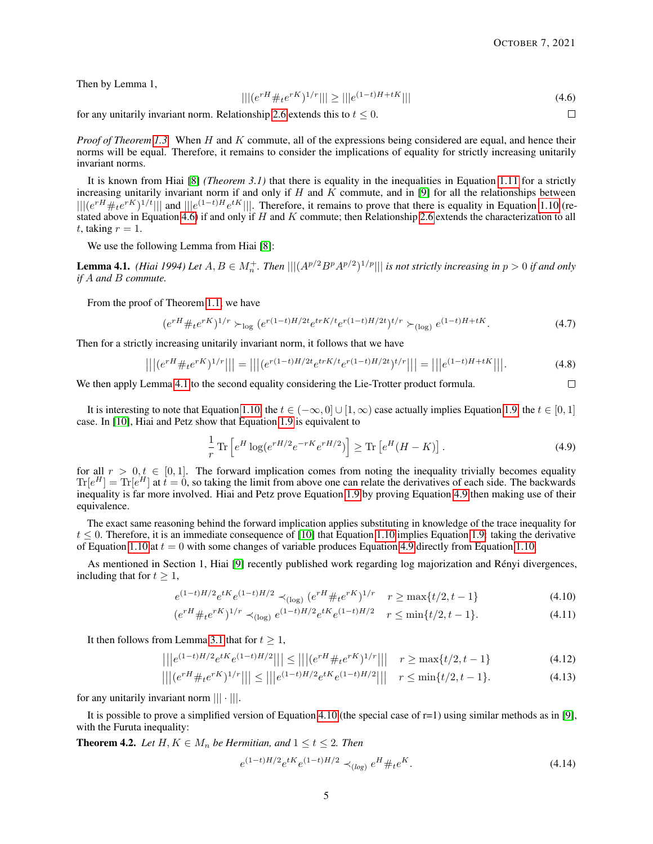Then by Lemma 1,

<span id="page-4-2"></span>
$$
|||(e^{rH} \#_t e^{rK})^{1/r}||| \ge |||e^{(1-t)H + tK}||| \tag{4.6}
$$

for any unitarily invariant norm. Relationship [2.6](#page-2-0) extends this to  $t \leq 0$ .

 $\Box$ 

<span id="page-4-5"></span><span id="page-4-1"></span><span id="page-4-0"></span> $\Box$ 

*Proof of Theorem [1.3.](#page-1-6)* When H and K commute, all of the expressions being considered are equal, and hence their norms will be equal. Therefore, it remains to consider the implications of equality for strictly increasing unitarily invariant norms.

It is known from Hiai [\[8\]](#page-6-9) *(Theorem 3.1)* that there is equality in the inequalities in Equation [1.11](#page-1-1) for a strictly increasing unitarily invariant norm if and only if  $H$  and  $\overline{K}$  commute, and in [\[9\]](#page-6-5) for all the relationships between  $\| | (e^{rH} \#_t e^{rK})^{1/t} |||$  and  $|| | e^{(1-t)H} e^{tK} |||$ . Therefore, it remains to prove that there is equality in Equation [1.10](#page-1-4) (re-stated above in Equation [4.6\)](#page-4-2) if and only if H and K commute; then Relationship [2.6](#page-2-0) extends the characterization to all t, taking  $r = 1$ .

We use the following Lemma from Hiai [\[8\]](#page-6-9):

<span id="page-4-3"></span>**Lemma 4.1.** *(Hiai 1994) Let*  $A, B \in M_n^+$ . *Then*  $|||(A^{p/2}B^pA^{p/2})^{1/p}|||$  *is not strictly increasing in*  $p > 0$  *if and only if* A *and* B *commute.*

From the proof of Theorem [1.1,](#page-1-0) we have

$$
(e^{rH} \#_t e^{rK})^{1/r} \succ_{\log} (e^{r(1-t)H/2t} e^{trK/t} e^{r(1-t)H/2t})^{t/r} \succ_{(\log)} e^{(1-t)H+tK}.
$$
 (4.7)

Then for a strictly increasing unitarily invariant norm, it follows that we have

$$
|||(e^{rH} \#_t e^{rK})^{1/r}||| = |||(e^{r(1-t)H/2t} e^{trK/t} e^{r(1-t)H/2t})^{t/r}||| = |||e^{(1-t)H+tK}|||.
$$
\n(4.8)

We then apply Lemma [4.1](#page-4-3) to the second equality considering the Lie-Trotter product formula.

It is interesting to note that Equation [1.10,](#page-1-4) the  $t \in (-\infty, 0] \cup [1, \infty)$  case actually implies Equation [1.9,](#page-1-2) the  $t \in [0, 1]$ case. In [\[10\]](#page-6-1), Hiai and Petz show that Equation [1.9](#page-1-2) is equivalent to

<span id="page-4-4"></span>
$$
\frac{1}{r}\operatorname{Tr}\left[e^H\log(e^{rH/2}e^{-rK}e^{rH/2})\right] \geq \operatorname{Tr}\left[e^H(H-K)\right].\tag{4.9}
$$

for all  $r > 0, t \in [0, 1]$ . The forward implication comes from noting the inequality trivially becomes equality  $\text{Tr}[e^H] = \text{Tr}[e^H]$  at  $t = 0$ , so taking the limit from above one can relate the derivatives of each side. The backwards inequality is far more involved. Hiai and Petz prove Equation [1.9](#page-1-2) by proving Equation [4.9](#page-4-4) then making use of their equivalence.

The exact same reasoning behind the forward implication applies substituting in knowledge of the trace inequality for  $t \le 0$ . Therefore, it is an immediate consequence of [\[10\]](#page-6-1) that Equation [1.10](#page-1-4) implies Equation [1.9:](#page-1-2) taking the derivative of Equation [1.10](#page-1-4) at  $t = 0$  with some changes of variable produces Equation [4.9](#page-4-4) directly from Equation [1.10.](#page-1-4)

As mentioned in Section 1, Hiai [\[9\]](#page-6-5) recently published work regarding log majorization and Rényi divergences, including that for  $t \geq 1$ ,

$$
e^{(1-t)H/2}e^{tK}e^{(1-t)H/2} \prec_{(\text{log})} (e^{rH} \#_t e^{rK})^{1/r} \quad r \ge \max\{t/2, t-1\}
$$
 (4.10)

$$
(e^{rH} \#_t e^{rK})^{1/r} \prec_{(\log)} e^{(1-t)H/2} e^{tK} e^{(1-t)H/2} \quad r \le \min\{t/2, t-1\}.\tag{4.11}
$$

It then follows from Lemma [3.1](#page-3-0) that for  $t \geq 1$ ,

$$
|||e^{(1-t)H/2}e^{tK}e^{(1-t)H/2}||| \le |||(e^{rH} \#_t e^{rK})^{1/r}||| \quad r \ge \max\{t/2, t-1\}
$$
\n(4.12)

$$
\left| \left| \left| \left( e^{rH} \#_t e^{rK} \right)^{1/r} \right| \right| \right| \le \left| \left| \left| e^{(1-t)H/2} e^{tK} e^{(1-t)H/2} \right| \right| \right| \quad r \le \min\{t/2, t-1\}. \tag{4.13}
$$

for any unitarily invariant norm  $||| \cdot |||$ .

It is possible to prove a simplified version of Equation [4.10](#page-4-5) (the special case of  $r=1$ ) using similar methods as in [\[9\]](#page-6-5), with the Furuta inequality:

<span id="page-4-6"></span>**Theorem 4.2.** *Let*  $H, K \in M_n$  *be Hermitian, and*  $1 \le t \le 2$ *. Then* 

$$
e^{(1-t)H/2}e^{tK}e^{(1-t)H/2} \prec_{(log)} e^H \#_t e^K.
$$
\n(4.14)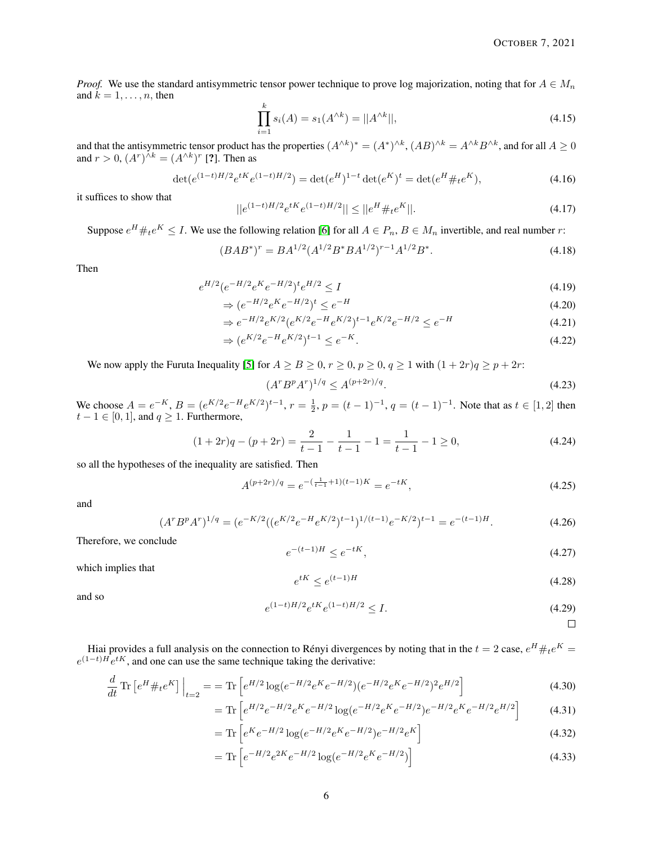*Proof.* We use the standard antisymmetric tensor power technique to prove log majorization, noting that for  $A \in M_n$ and  $k = 1, \ldots, n$ , then

$$
\prod_{i=1}^{k} s_i(A) = s_1(A^{\wedge k}) = ||A^{\wedge k}||,
$$
\n(4.15)

and that the antisymmetric tensor product has the properties  $(A^{\wedge k})^* = (A^*)^{\wedge k}$ ,  $(AB)^{\wedge k} = A^{\wedge k}B^{\wedge k}$ , and for all  $A \ge 0$ and  $r > 0$ ,  $(A<sup>r</sup>)<sup>∧k</sup> = (A<sup>∧k</sup>)<sup>r</sup>$  [?]. Then as

$$
\det(e^{(1-t)H/2}e^{tK}e^{(1-t)H/2}) = \det(e^H)^{1-t} \det(e^K)^t = \det(e^H \#_t e^K),\tag{4.16}
$$

it suffices to show that

$$
||e^{(1-t)H/2}e^{tK}e^{(1-t)H/2}|| \le ||e^H \#_t e^K||. \tag{4.17}
$$

Suppose  $e^H \#_t e^K \leq I$ . We use the following relation [\[6\]](#page-6-10) for all  $A \in P_n$ ,  $B \in M_n$  invertible, and real number r:

$$
(BAB^*)^r = BA^{1/2}(A^{1/2}B^*BA^{1/2})^{r-1}A^{1/2}B^*.
$$
\n(4.18)

Then

$$
e^{H/2} (e^{-H/2} e^{K} e^{-H/2})^{\dagger} e^{H/2} \le I \tag{4.19}
$$

$$
\Rightarrow (e^{-H/2}e^{K}e^{-H/2})^{t} \le e^{-H} \tag{4.20}
$$

$$
\Rightarrow e^{-H/2}e^{K/2}(e^{K/2}e^{-H}e^{K/2})^{t-1}e^{K/2}e^{-H/2} \le e^{-H} \tag{4.21}
$$

$$
\Rightarrow (e^{K/2}e^{-H}e^{K/2})^{t-1} \le e^{-K}.
$$
\n(4.22)

We now apply the Furuta Inequality [\[5\]](#page-6-11) for  $A \ge B \ge 0, r \ge 0, p \ge 0, q \ge 1$  with  $(1 + 2r)q \ge p + 2r$ :

$$
(A^r B^p A^r)^{1/q} \le A^{(p+2r)/q}.
$$
\n(4.23)

We choose  $A = e^{-K}$ ,  $B = (e^{K/2}e^{-H}e^{K/2})^{t-1}$ ,  $r = \frac{1}{2}$ ,  $p = (t-1)^{-1}$ ,  $q = (t-1)^{-1}$ . Note that as  $t \in [1,2]$  then  $t-1 \in [0,1]$ , and  $q \ge 1$ . Furthermore,

$$
(1+2r)q - (p+2r) = \frac{2}{t-1} - \frac{1}{t-1} - 1 = \frac{1}{t-1} - 1 \ge 0,
$$
\n(4.24)

so all the hypotheses of the inequality are satisfied. Then

$$
A^{(p+2r)/q} = e^{-\left(\frac{1}{t-1}+1\right)(t-1)K} = e^{-tK},\tag{4.25}
$$

and

$$
(A^r B^p A^r)^{1/q} = (e^{-K/2} ((e^{K/2} e^{-H} e^{K/2})^{t-1})^{1/(t-1)} e^{-K/2})^{t-1} = e^{-(t-1)H}.
$$
\n(4.26)

Therefore, we conclude

$$
e^{-(t-1)H} \le e^{-tK},\tag{4.27}
$$

which implies that

$$
e^{tK} \le e^{(t-1)H} \tag{4.28}
$$

and so

$$
e^{(1-t)H/2}e^{tK}e^{(1-t)H/2} \le I.
$$
\n(4.29)

 $\Box$ 

Hiai provides a full analysis on the connection to Rényi divergences by noting that in the  $t = 2$  case,  $e^H \#_t e^K =$  $e^{(1-t)H}e^{tK}$ , and one can use the same technique taking the derivative:

$$
\frac{d}{dt}\operatorname{Tr}\left[e^H\#_t e^K\right]\Big|_{t=2} = \operatorname{Tr}\left[e^{H/2}\log(e^{-H/2}e^K e^{-H/2})(e^{-H/2}e^K e^{-H/2})^2 e^{H/2}\right] \tag{4.30}
$$

$$
= \text{Tr} \left[ e^{H/2} e^{-H/2} e^{K} e^{-H/2} \log(e^{-H/2} e^{K} e^{-H/2}) e^{-H/2} e^{K} e^{-H/2} e^{H/2} \right] \tag{4.31}
$$

$$
= \text{Tr}\left[e^{K}e^{-H/2}\log(e^{-H/2}e^{K}e^{-H/2})e^{-H/2}e^{K}\right]
$$
\n(4.32)

$$
= \text{Tr}\left[e^{-H/2}e^{2K}e^{-H/2}\log(e^{-H/2}e^{K}e^{-H/2})\right]
$$
\n(4.33)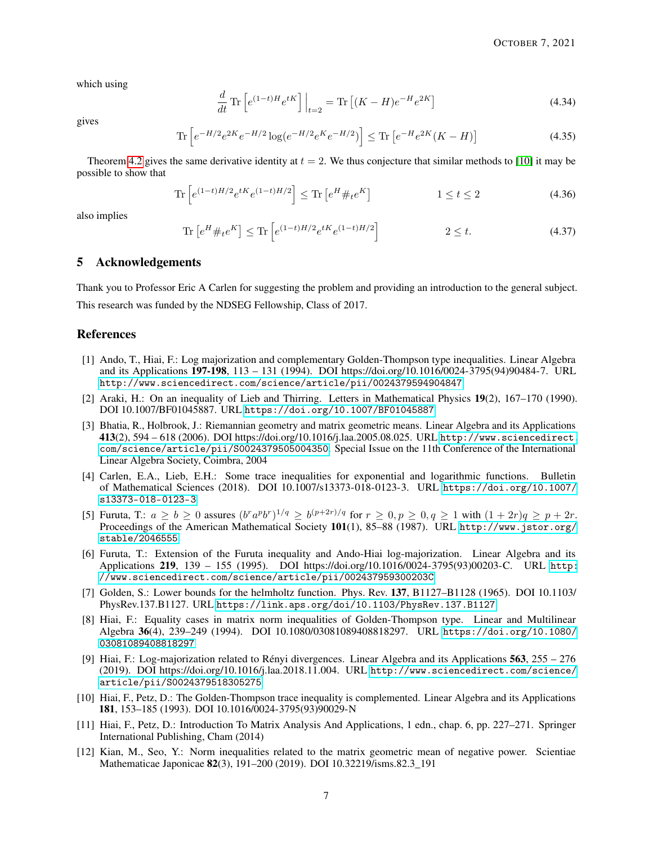which using

$$
\frac{d}{dt}\operatorname{Tr}\left[e^{(1-t)H}e^{tK}\right]\Big|_{t=2} = \operatorname{Tr}\left[(K-H)e^{-H}e^{2K}\right]
$$
\n(4.34)

gives

$$
\operatorname{Tr}\left[e^{-H/2}e^{2K}e^{-H/2}\log(e^{-H/2}e^{K}e^{-H/2})\right] \leq \operatorname{Tr}\left[e^{-H}e^{2K}(K-H)\right]
$$
\n(4.35)

Theorem [4.2](#page-4-6) gives the same derivative identity at  $t = 2$ . We thus conjecture that similar methods to [\[10\]](#page-6-1) it may be possible to show that

$$
\text{Tr}\left[e^{(1-t)H/2}e^{tK}e^{(1-t)H/2}\right] \leq \text{Tr}\left[e^{H} \#_{t}e^{K}\right] \qquad 1 \leq t \leq 2 \qquad (4.36)
$$

also implies

$$
\text{Tr}\left[e^H \#_t e^K\right] \le \text{Tr}\left[e^{(1-t)H/2} e^{tK} e^{(1-t)H/2}\right] \qquad 2 \le t. \tag{4.37}
$$

# 5 Acknowledgements

Thank you to Professor Eric A Carlen for suggesting the problem and providing an introduction to the general subject. This research was funded by the NDSEG Fellowship, Class of 2017.

### References

- <span id="page-6-2"></span>[1] Ando, T., Hiai, F.: Log majorization and complementary Golden-Thompson type inequalities. Linear Algebra and its Applications 197-198, 113 – 131 (1994). DOI https://doi.org/10.1016/0024-3795(94)90484-7. URL <http://www.sciencedirect.com/science/article/pii/0024379594904847>
- <span id="page-6-3"></span>[2] Araki, H.: On an inequality of Lieb and Thirring. Letters in Mathematical Physics 19(2), 167–170 (1990). DOI 10.1007/BF01045887. URL <https://doi.org/10.1007/BF01045887>
- <span id="page-6-7"></span>[3] Bhatia, R., Holbrook, J.: Riemannian geometry and matrix geometric means. Linear Algebra and its Applications 413(2), 594 – 618 (2006). DOI https://doi.org/10.1016/j.laa.2005.08.025. URL [http://www.sciencedirect.](http://www.sciencedirect.com/science/article/pii/S0024379505004350) [com/science/article/pii/S0024379505004350](http://www.sciencedirect.com/science/article/pii/S0024379505004350). Special Issue on the 11th Conference of the International Linear Algebra Society, Coimbra, 2004
- <span id="page-6-6"></span>[4] Carlen, E.A., Lieb, E.H.: Some trace inequalities for exponential and logarithmic functions. Bulletin of Mathematical Sciences (2018). DOI 10.1007/s13373-018-0123-3. URL [https://doi.org/10.1007/](https://doi.org/10.1007/s13373-018-0123-3) [s13373-018-0123-3](https://doi.org/10.1007/s13373-018-0123-3)
- <span id="page-6-11"></span>[5] Furuta, T.:  $a \geq b \geq 0$  assures  $(b^r a^p b^r)^{1/q} \geq b^{(p+2r)/q}$  for  $r \geq 0, p \geq 0, q \geq 1$  with  $(1+2r)q \geq p+2r$ . Proceedings of the American Mathematical Society 101(1), 85–88 (1987). URL [http://www.jstor.org/](http://www.jstor.org/stable/2046555) [stable/2046555](http://www.jstor.org/stable/2046555)
- <span id="page-6-10"></span>[6] Furuta, T.: Extension of the Furuta inequality and Ando-Hiai log-majorization. Linear Algebra and its Applications 219, 139 – 155 (1995). DOI https://doi.org/10.1016/0024-3795(93)00203-C. URL [http:](http://www.sciencedirect.com/science/article/pii/002437959300203C) [//www.sciencedirect.com/science/article/pii/002437959300203C](http://www.sciencedirect.com/science/article/pii/002437959300203C)
- <span id="page-6-0"></span>[7] Golden, S.: Lower bounds for the helmholtz function. Phys. Rev. 137, B1127–B1128 (1965). DOI 10.1103/ PhysRev.137.B1127. URL <https://link.aps.org/doi/10.1103/PhysRev.137.B1127>
- <span id="page-6-9"></span>[8] Hiai, F.: Equality cases in matrix norm inequalities of Golden-Thompson type. Linear and Multilinear Algebra 36(4), 239–249 (1994). DOI 10.1080/03081089408818297. URL [https://doi.org/10.1080/](https://doi.org/10.1080/03081089408818297) [03081089408818297](https://doi.org/10.1080/03081089408818297)
- <span id="page-6-5"></span>[9] Hiai, F.: Log-majorization related to Rényi divergences. Linear Algebra and its Applications 563, 255 – 276 (2019). DOI https://doi.org/10.1016/j.laa.2018.11.004. URL [http://www.sciencedirect.com/science/](http://www.sciencedirect.com/science/article/pii/S0024379518305275) [article/pii/S0024379518305275](http://www.sciencedirect.com/science/article/pii/S0024379518305275)
- <span id="page-6-1"></span>[10] Hiai, F., Petz, D.: The Golden-Thompson trace inequality is complemented. Linear Algebra and its Applications 181, 153–185 (1993). DOI 10.1016/0024-3795(93)90029-N
- <span id="page-6-8"></span>[11] Hiai, F., Petz, D.: Introduction To Matrix Analysis And Applications, 1 edn., chap. 6, pp. 227–271. Springer International Publishing, Cham (2014)
- <span id="page-6-4"></span>[12] Kian, M., Seo, Y.: Norm inequalities related to the matrix geometric mean of negative power. Scientiae Mathematicae Japonicae 82(3), 191–200 (2019). DOI 10.32219/isms.82.3\_191